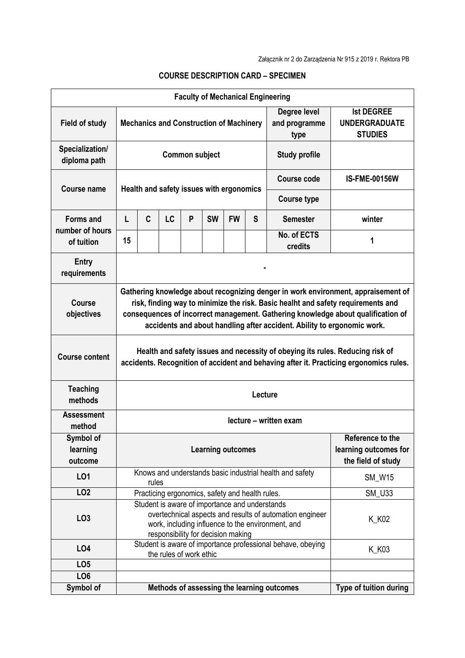| <b>Faculty of Mechanical Engineering</b>          |                                                                                                                                                                                                                                                                                                                                      |   |           |   |           |                                                                 |               |                                                             |                        |
|---------------------------------------------------|--------------------------------------------------------------------------------------------------------------------------------------------------------------------------------------------------------------------------------------------------------------------------------------------------------------------------------------|---|-----------|---|-----------|-----------------------------------------------------------------|---------------|-------------------------------------------------------------|------------------------|
| <b>Field of study</b>                             | Degree level<br>and programme<br><b>Mechanics and Construction of Machinery</b><br>type                                                                                                                                                                                                                                              |   |           |   |           |                                                                 |               | <b>Ist DEGREE</b><br><b>UNDERGRADUATE</b><br><b>STUDIES</b> |                        |
| Specialization/<br>diploma path                   | <b>Common subject</b><br><b>Study profile</b>                                                                                                                                                                                                                                                                                        |   |           |   |           |                                                                 |               |                                                             |                        |
| Course name                                       | Health and safety issues with ergonomics                                                                                                                                                                                                                                                                                             |   |           |   |           |                                                                 |               | <b>Course code</b>                                          | <b>IS-FME-00156W</b>   |
|                                                   |                                                                                                                                                                                                                                                                                                                                      |   |           |   |           |                                                                 |               |                                                             |                        |
| <b>Forms and</b><br>number of hours<br>of tuition | L                                                                                                                                                                                                                                                                                                                                    | C | <b>LC</b> | P | <b>SW</b> | <b>FW</b>                                                       | S             | <b>Semester</b>                                             | winter                 |
|                                                   | 15                                                                                                                                                                                                                                                                                                                                   |   |           |   |           |                                                                 |               | No. of ECTS<br>credits                                      | 1                      |
| <b>Entry</b><br>requirements                      |                                                                                                                                                                                                                                                                                                                                      |   |           |   |           |                                                                 |               |                                                             |                        |
| <b>Course</b><br>objectives                       | Gathering knowledge about recognizing denger in work environment, appraisement of<br>risk, finding way to minimize the risk. Basic healht and safety requirements and<br>consequences of incorrect management. Gathering knowledge about qualification of<br>accidents and about handling after accident. Ability to ergonomic work. |   |           |   |           |                                                                 |               |                                                             |                        |
| <b>Course content</b>                             | Health and safety issues and necessity of obeying its rules. Reducing risk of<br>accidents. Recognition of accident and behaving after it. Practicing ergonomics rules.                                                                                                                                                              |   |           |   |           |                                                                 |               |                                                             |                        |
| <b>Teaching</b><br>methods                        | Lecture                                                                                                                                                                                                                                                                                                                              |   |           |   |           |                                                                 |               |                                                             |                        |
| <b>Assessment</b><br>method                       | lecture – written exam                                                                                                                                                                                                                                                                                                               |   |           |   |           |                                                                 |               |                                                             |                        |
| Symbol of<br>learning<br>outcome                  | <b>Learning outcomes</b>                                                                                                                                                                                                                                                                                                             |   |           |   |           | Reference to the<br>learning outcomes for<br>the field of study |               |                                                             |                        |
| LO1                                               | Knows and understands basic industrial health and safety<br>rules                                                                                                                                                                                                                                                                    |   |           |   |           |                                                                 | <b>SM_W15</b> |                                                             |                        |
| LO <sub>2</sub>                                   |                                                                                                                                                                                                                                                                                                                                      |   |           |   |           |                                                                 |               |                                                             | <b>SM_U33</b>          |
| LO <sub>3</sub>                                   | Practicing ergonomics, safety and health rules.<br>Student is aware of importance and understands<br>overtechnical aspects and results of automation engineer<br>K_K02<br>work, including influence to the environment, and<br>responsibility for decision making                                                                    |   |           |   |           |                                                                 |               |                                                             |                        |
| LO4                                               | Student is aware of importance professional behave, obeying<br>the rules of work ethic                                                                                                                                                                                                                                               |   |           |   |           |                                                                 |               |                                                             | K_K03                  |
| LO <sub>5</sub>                                   |                                                                                                                                                                                                                                                                                                                                      |   |           |   |           |                                                                 |               |                                                             |                        |
| LO <sub>6</sub>                                   |                                                                                                                                                                                                                                                                                                                                      |   |           |   |           |                                                                 |               |                                                             |                        |
| Symbol of                                         |                                                                                                                                                                                                                                                                                                                                      |   |           |   |           |                                                                 |               | Methods of assessing the learning outcomes                  | Type of tuition during |

## **COURSE DESCRIPTION CARD – SPECIMEN**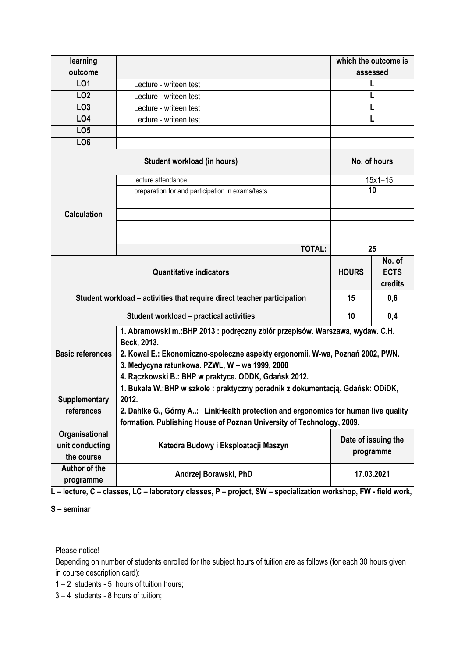| learning                                                                |                                                                                              | which the outcome is             |             |  |  |  |  |  |  |  |
|-------------------------------------------------------------------------|----------------------------------------------------------------------------------------------|----------------------------------|-------------|--|--|--|--|--|--|--|
| outcome                                                                 |                                                                                              | assessed                         |             |  |  |  |  |  |  |  |
| LO1                                                                     | Lecture - writeen test                                                                       |                                  |             |  |  |  |  |  |  |  |
| LO <sub>2</sub>                                                         | Lecture - writeen test                                                                       |                                  |             |  |  |  |  |  |  |  |
| LO <sub>3</sub>                                                         | Lecture - writeen test                                                                       |                                  |             |  |  |  |  |  |  |  |
| L04                                                                     | Lecture - writeen test                                                                       |                                  |             |  |  |  |  |  |  |  |
| LO <sub>5</sub>                                                         |                                                                                              |                                  |             |  |  |  |  |  |  |  |
| LO <sub>6</sub>                                                         |                                                                                              |                                  |             |  |  |  |  |  |  |  |
|                                                                         | No. of hours                                                                                 |                                  |             |  |  |  |  |  |  |  |
|                                                                         | lecture attendance                                                                           |                                  | $15x1 = 15$ |  |  |  |  |  |  |  |
|                                                                         | preparation for and participation in exams/tests                                             | 10                               |             |  |  |  |  |  |  |  |
|                                                                         |                                                                                              |                                  |             |  |  |  |  |  |  |  |
| <b>Calculation</b>                                                      |                                                                                              |                                  |             |  |  |  |  |  |  |  |
|                                                                         |                                                                                              |                                  |             |  |  |  |  |  |  |  |
|                                                                         |                                                                                              |                                  |             |  |  |  |  |  |  |  |
|                                                                         | <b>TOTAL:</b>                                                                                | 25                               |             |  |  |  |  |  |  |  |
|                                                                         | <b>HOURS</b>                                                                                 | No. of<br><b>ECTS</b><br>credits |             |  |  |  |  |  |  |  |
| Student workload – activities that require direct teacher participation | 15                                                                                           | 0,6                              |             |  |  |  |  |  |  |  |
|                                                                         | Student workload - practical activities                                                      | 10                               | 0,4         |  |  |  |  |  |  |  |
|                                                                         | 1. Abramowski m.: BHP 2013 : podręczny zbiór przepisów. Warszawa, wydaw. C.H.<br>Beck, 2013. |                                  |             |  |  |  |  |  |  |  |
| <b>Basic references</b>                                                 | 2. Kowal E.: Ekonomiczno-społeczne aspekty ergonomii. W-wa, Poznań 2002, PWN.                |                                  |             |  |  |  |  |  |  |  |
|                                                                         | 3. Medycyna ratunkowa. PZWL, W - wa 1999, 2000                                               |                                  |             |  |  |  |  |  |  |  |
|                                                                         | 4. Rączkowski B.: BHP w praktyce. ODDK, Gdańsk 2012.                                         |                                  |             |  |  |  |  |  |  |  |
|                                                                         | 1. Bukała W.: BHP w szkole : praktyczny poradnik z dokumentacją. Gdańsk: ODiDK,              |                                  |             |  |  |  |  |  |  |  |
| Supplementary                                                           | 2012.                                                                                        |                                  |             |  |  |  |  |  |  |  |
| references                                                              | 2. Dahlke G., Górny A: LinkHealth protection and ergonomics for human live quality           |                                  |             |  |  |  |  |  |  |  |
|                                                                         | formation. Publishing House of Poznan University of Technology, 2009.                        |                                  |             |  |  |  |  |  |  |  |
| Organisational<br>unit conducting                                       | Katedra Budowy i Eksploatacji Maszyn                                                         | Date of issuing the<br>programme |             |  |  |  |  |  |  |  |
| the course                                                              |                                                                                              |                                  |             |  |  |  |  |  |  |  |
| Author of the<br>programme                                              | Andrzej Borawski, PhD                                                                        | 17.03.2021                       |             |  |  |  |  |  |  |  |

**L – lecture, C – classes, LC – laboratory classes, P – project, SW – specialization workshop, FW - field work,**

## **S – seminar**

Please notice!

Depending on number of students enrolled for the subject hours of tuition are as follows (for each 30 hours given in course description card):

1 – 2 students - 5 hours of tuition hours;

3 – 4 students - 8 hours of tuition;